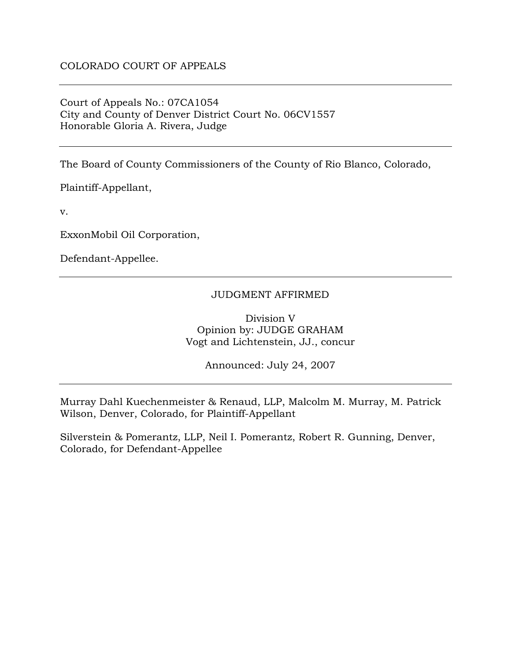## Court of Appeals No.: 07CA1054 City and County of Denver District Court No. 06CV1557 Honorable Gloria A. Rivera, Judge

The Board of County Commissioners of the County of Rio Blanco, Colorado,

Plaintiff-Appellant,

v.

ExxonMobil Oil Corporation,

Defendant-Appellee.

## JUDGMENT AFFIRMED

Division V Opinion by: JUDGE GRAHAM Vogt and Lichtenstein, JJ., concur

Announced: July 24, 2007

Murray Dahl Kuechenmeister & Renaud, LLP, Malcolm M. Murray, M. Patrick Wilson, Denver, Colorado, for Plaintiff-Appellant

Silverstein & Pomerantz, LLP, Neil I. Pomerantz, Robert R. Gunning, Denver, Colorado, for Defendant-Appellee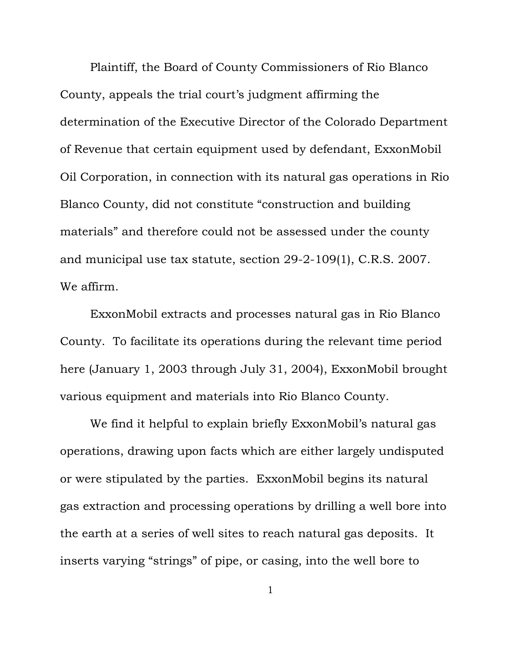Plaintiff, the Board of County Commissioners of Rio Blanco County, appeals the trial court's judgment affirming the determination of the Executive Director of the Colorado Department of Revenue that certain equipment used by defendant, ExxonMobil Oil Corporation, in connection with its natural gas operations in Rio Blanco County, did not constitute "construction and building materials" and therefore could not be assessed under the county and municipal use tax statute, section 29-2-109(1), C.R.S. 2007. We affirm.

ExxonMobil extracts and processes natural gas in Rio Blanco County. To facilitate its operations during the relevant time period here (January 1, 2003 through July 31, 2004), ExxonMobil brought various equipment and materials into Rio Blanco County.

We find it helpful to explain briefly ExxonMobil's natural gas operations, drawing upon facts which are either largely undisputed or were stipulated by the parties. ExxonMobil begins its natural gas extraction and processing operations by drilling a well bore into the earth at a series of well sites to reach natural gas deposits. It inserts varying "strings" of pipe, or casing, into the well bore to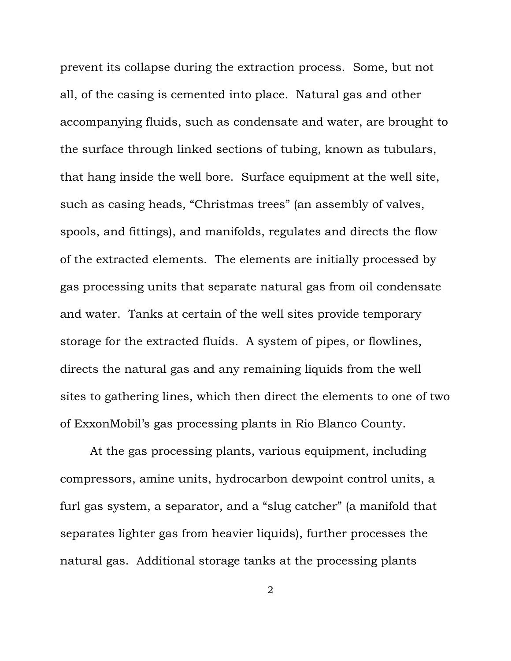prevent its collapse during the extraction process. Some, but not all, of the casing is cemented into place. Natural gas and other accompanying fluids, such as condensate and water, are brought to the surface through linked sections of tubing, known as tubulars, that hang inside the well bore. Surface equipment at the well site, such as casing heads, "Christmas trees" (an assembly of valves, spools, and fittings), and manifolds, regulates and directs the flow of the extracted elements. The elements are initially processed by gas processing units that separate natural gas from oil condensate and water. Tanks at certain of the well sites provide temporary storage for the extracted fluids. A system of pipes, or flowlines, directs the natural gas and any remaining liquids from the well sites to gathering lines, which then direct the elements to one of two of ExxonMobil's gas processing plants in Rio Blanco County.

At the gas processing plants, various equipment, including compressors, amine units, hydrocarbon dewpoint control units, a furl gas system, a separator, and a "slug catcher" (a manifold that separates lighter gas from heavier liquids), further processes the natural gas. Additional storage tanks at the processing plants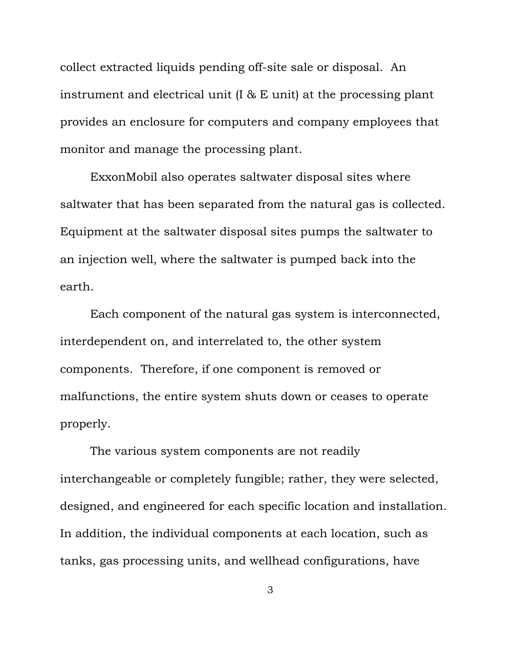collect extracted liquids pending off-site sale or disposal. An instrument and electrical unit (I & E unit) at the processing plant provides an enclosure for computers and company employees that monitor and manage the processing plant.

ExxonMobil also operates saltwater disposal sites where saltwater that has been separated from the natural gas is collected. Equipment at the saltwater disposal sites pumps the saltwater to an injection well, where the saltwater is pumped back into the earth.

Each component of the natural gas system is interconnected, interdependent on, and interrelated to, the other system components. Therefore, if one component is removed or malfunctions, the entire system shuts down or ceases to operate properly.

The various system components are not readily interchangeable or completely fungible; rather, they were selected, designed, and engineered for each specific location and installation. In addition, the individual components at each location, such as tanks, gas processing units, and wellhead configurations, have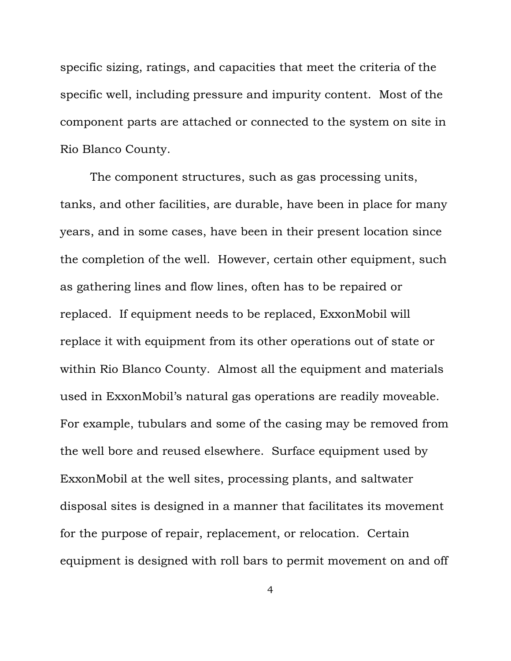specific sizing, ratings, and capacities that meet the criteria of the specific well, including pressure and impurity content. Most of the component parts are attached or connected to the system on site in Rio Blanco County.

The component structures, such as gas processing units, tanks, and other facilities, are durable, have been in place for many years, and in some cases, have been in their present location since the completion of the well. However, certain other equipment, such as gathering lines and flow lines, often has to be repaired or replaced. If equipment needs to be replaced, ExxonMobil will replace it with equipment from its other operations out of state or within Rio Blanco County. Almost all the equipment and materials used in ExxonMobil's natural gas operations are readily moveable. For example, tubulars and some of the casing may be removed from the well bore and reused elsewhere. Surface equipment used by ExxonMobil at the well sites, processing plants, and saltwater disposal sites is designed in a manner that facilitates its movement for the purpose of repair, replacement, or relocation. Certain equipment is designed with roll bars to permit movement on and off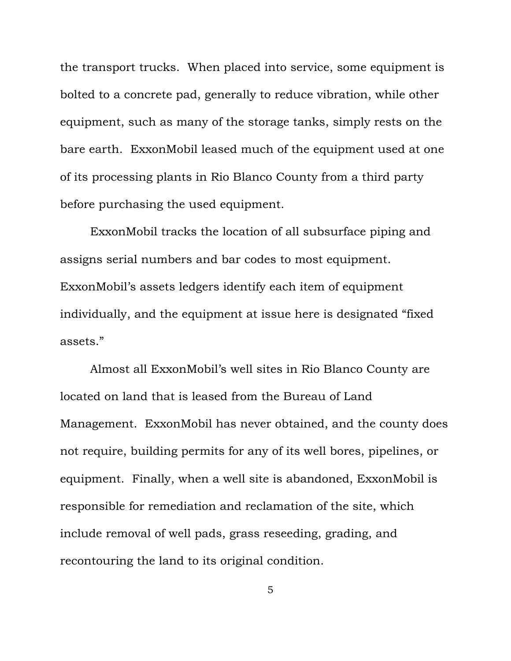the transport trucks. When placed into service, some equipment is bolted to a concrete pad, generally to reduce vibration, while other equipment, such as many of the storage tanks, simply rests on the bare earth. ExxonMobil leased much of the equipment used at one of its processing plants in Rio Blanco County from a third party before purchasing the used equipment.

ExxonMobil tracks the location of all subsurface piping and assigns serial numbers and bar codes to most equipment. ExxonMobil's assets ledgers identify each item of equipment individually, and the equipment at issue here is designated "fixed assets."

Almost all ExxonMobil's well sites in Rio Blanco County are located on land that is leased from the Bureau of Land Management. ExxonMobil has never obtained, and the county does not require, building permits for any of its well bores, pipelines, or equipment. Finally, when a well site is abandoned, ExxonMobil is responsible for remediation and reclamation of the site, which include removal of well pads, grass reseeding, grading, and recontouring the land to its original condition.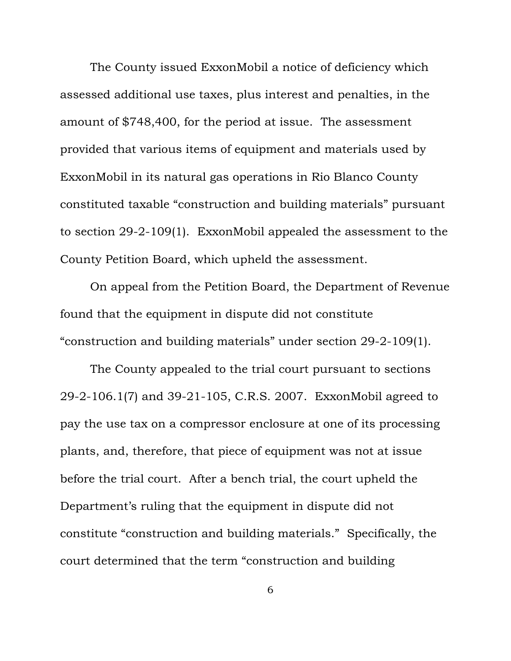The County issued ExxonMobil a notice of deficiency which assessed additional use taxes, plus interest and penalties, in the amount of \$748,400, for the period at issue. The assessment provided that various items of equipment and materials used by ExxonMobil in its natural gas operations in Rio Blanco County constituted taxable "construction and building materials" pursuant to section 29-2-109(1). ExxonMobil appealed the assessment to the County Petition Board, which upheld the assessment.

On appeal from the Petition Board, the Department of Revenue found that the equipment in dispute did not constitute "construction and building materials" under section 29-2-109(1).

The County appealed to the trial court pursuant to sections 29-2-106.1(7) and 39-21-105, C.R.S. 2007. ExxonMobil agreed to pay the use tax on a compressor enclosure at one of its processing plants, and, therefore, that piece of equipment was not at issue before the trial court. After a bench trial, the court upheld the Department's ruling that the equipment in dispute did not constitute "construction and building materials." Specifically, the court determined that the term "construction and building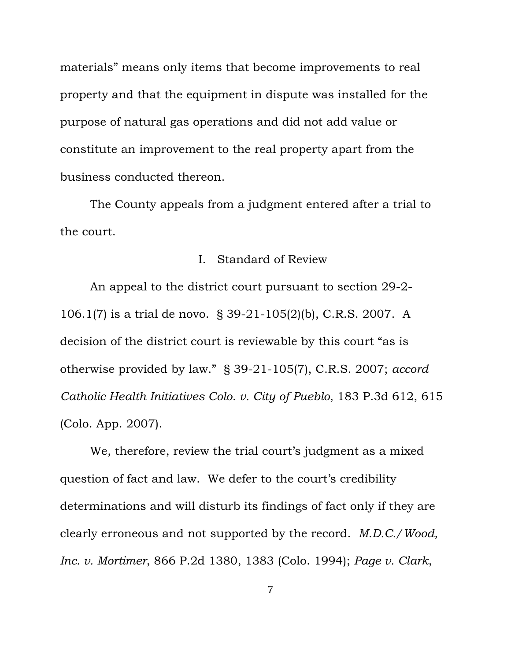materials" means only items that become improvements to real property and that the equipment in dispute was installed for the purpose of natural gas operations and did not add value or constitute an improvement to the real property apart from the business conducted thereon.

The County appeals from a judgment entered after a trial to the court.

## I. Standard of Review

An appeal to the district court pursuant to section 29-2- 106.1(7) is a trial de novo. § 39-21-105(2)(b), C.R.S. 2007. A decision of the district court is reviewable by this court "as is otherwise provided by law." § 39-21-105(7), C.R.S. 2007; *accord Catholic Health Initiatives Colo. v. City of Pueblo*, 183 P.3d 612, 615 (Colo. App. 2007).

We, therefore, review the trial court's judgment as a mixed question of fact and law. We defer to the court's credibility determinations and will disturb its findings of fact only if they are clearly erroneous and not supported by the record. *M.D.C./Wood, Inc. v. Mortimer*, 866 P.2d 1380, 1383 (Colo. 1994); *Page v. Clark*,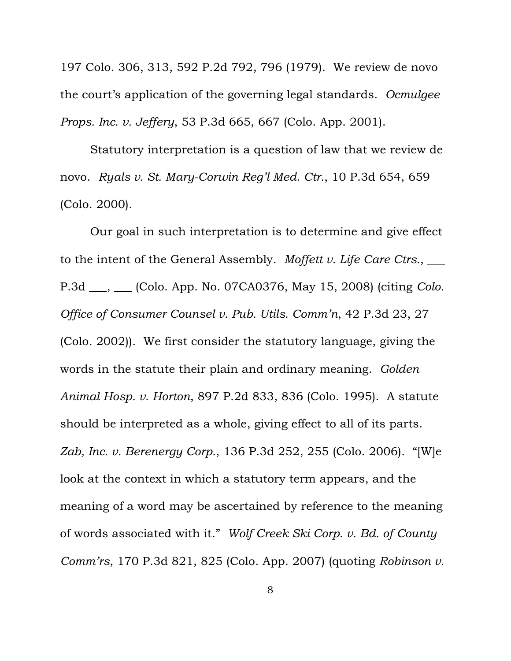197 Colo. 306, 313, 592 P.2d 792, 796 (1979). We review de novo the court's application of the governing legal standards. *Ocmulgee Props. Inc. v. Jeffery*, 53 P.3d 665, 667 (Colo. App. 2001).

Statutory interpretation is a question of law that we review de novo. *Ryals v. St. Mary-Corwin Reg'l Med. Ctr.*, 10 P.3d 654, 659 (Colo. 2000).

Our goal in such interpretation is to determine and give effect to the intent of the General Assembly. *Moffett v. Life Care Ctrs.*, \_\_\_ P.3d \_\_\_, \_\_\_ (Colo. App. No. 07CA0376, May 15, 2008) (citing *Colo. Office of Consumer Counsel v. Pub. Utils. Comm'n*, 42 P.3d 23, 27 (Colo. 2002)). We first consider the statutory language, giving the words in the statute their plain and ordinary meaning. *Golden Animal Hosp. v. Horton*, 897 P.2d 833, 836 (Colo. 1995). A statute should be interpreted as a whole, giving effect to all of its parts. *Zab, Inc. v. Berenergy Corp.*, 136 P.3d 252, 255 (Colo. 2006). "[W]e look at the context in which a statutory term appears, and the meaning of a word may be ascertained by reference to the meaning of words associated with it." *Wolf Creek Ski Corp. v. Bd. of County Comm'rs*, 170 P.3d 821, 825 (Colo. App. 2007) (quoting *Robinson v.*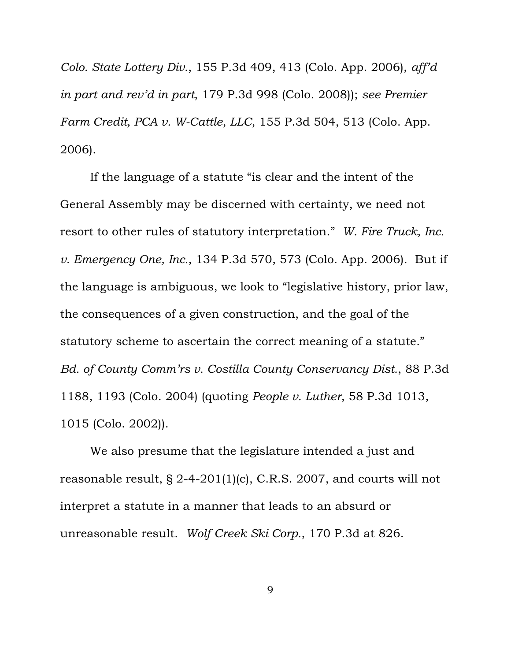*Colo. State Lottery Div.*, 155 P.3d 409, 413 (Colo. App. 2006), *aff'd in part and rev'd in part*, 179 P.3d 998 (Colo. 2008)); *see Premier Farm Credit, PCA v. W-Cattle, LLC*, 155 P.3d 504, 513 (Colo. App. 2006).

If the language of a statute "is clear and the intent of the General Assembly may be discerned with certainty, we need not resort to other rules of statutory interpretation." *W. Fire Truck, Inc. v. Emergency One, Inc.*, 134 P.3d 570, 573 (Colo. App. 2006). But if the language is ambiguous, we look to "legislative history, prior law, the consequences of a given construction, and the goal of the statutory scheme to ascertain the correct meaning of a statute." *Bd. of County Comm'rs v. Costilla County Conservancy Dist.*, 88 P.3d 1188, 1193 (Colo. 2004) (quoting *People v. Luther*, 58 P.3d 1013, 1015 (Colo. 2002)).

We also presume that the legislature intended a just and reasonable result, § 2-4-201(1)(c), C.R.S. 2007, and courts will not interpret a statute in a manner that leads to an absurd or unreasonable result. *Wolf Creek Ski Corp.*, 170 P.3d at 826.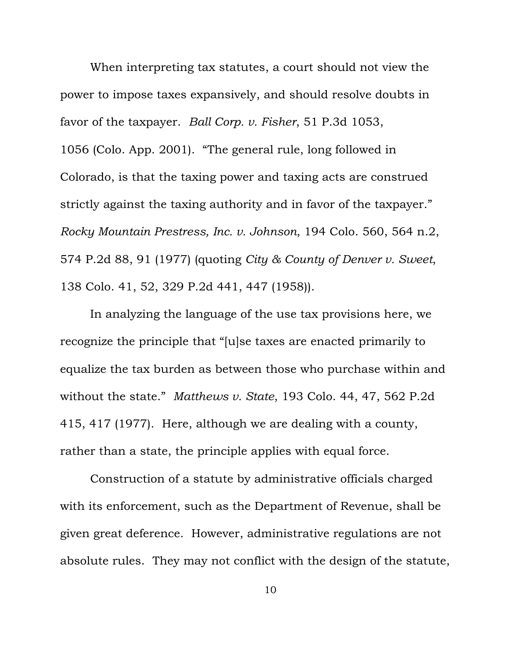When interpreting tax statutes, a court should not view the power to impose taxes expansively, and should resolve doubts in favor of the taxpayer. *Ball Corp. v. Fisher*, 51 P.3d 1053, 1056 (Colo. App. 2001). "The general rule, long followed in Colorado, is that the taxing power and taxing acts are construed strictly against the taxing authority and in favor of the taxpayer." *Rocky Mountain Prestress, Inc. v. Johnson*, 194 Colo. 560, 564 n.2, 574 P.2d 88, 91 (1977) (quoting *City & County of Denver v. Sweet*, 138 Colo. 41, 52, 329 P.2d 441, 447 (1958)).

In analyzing the language of the use tax provisions here, we recognize the principle that "[u]se taxes are enacted primarily to equalize the tax burden as between those who purchase within and without the state." *Matthews v. State*, 193 Colo. 44, 47, 562 P.2d 415, 417 (1977). Here, although we are dealing with a county, rather than a state, the principle applies with equal force.

Construction of a statute by administrative officials charged with its enforcement, such as the Department of Revenue, shall be given great deference. However, administrative regulations are not absolute rules. They may not conflict with the design of the statute,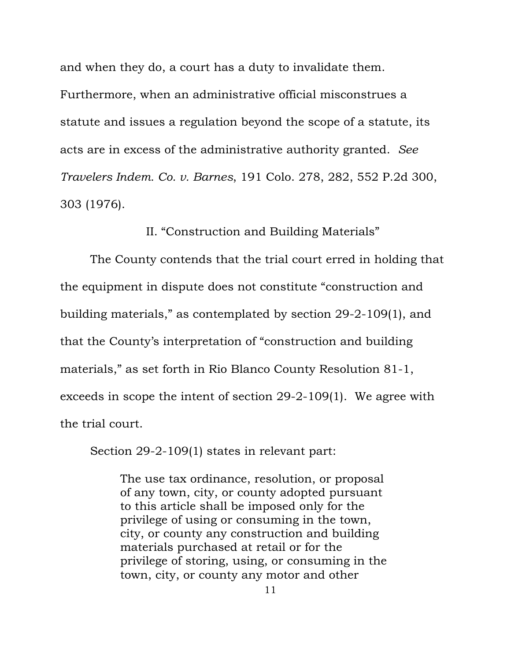and when they do, a court has a duty to invalidate them. Furthermore, when an administrative official misconstrues a statute and issues a regulation beyond the scope of a statute, its acts are in excess of the administrative authority granted. *See Travelers Indem. Co. v. Barnes*, 191 Colo. 278, 282, 552 P.2d 300, 303 (1976).

II. "Construction and Building Materials"

The County contends that the trial court erred in holding that the equipment in dispute does not constitute "construction and building materials," as contemplated by section 29-2-109(1), and that the County's interpretation of "construction and building materials," as set forth in Rio Blanco County Resolution 81-1, exceeds in scope the intent of section 29-2-109(1). We agree with the trial court.

Section 29-2-109(1) states in relevant part:

The use tax ordinance, resolution, or proposal of any town, city, or county adopted pursuant to this article shall be imposed only for the privilege of using or consuming in the town, city, or county any construction and building materials purchased at retail or for the privilege of storing, using, or consuming in the town, city, or county any motor and other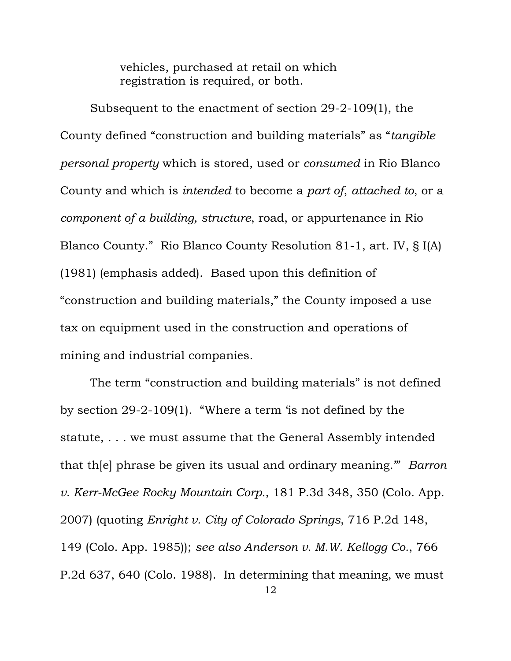vehicles, purchased at retail on which registration is required, or both.

Subsequent to the enactment of section 29-2-109(1), the County defined "construction and building materials" as "*tangible personal property* which is stored, used or *consumed* in Rio Blanco County and which is *intended* to become a *part of*, *attached to*, or a *component of a building, structure*, road, or appurtenance in Rio Blanco County." Rio Blanco County Resolution 81-1, art. IV, § I(A) (1981) (emphasis added). Based upon this definition of "construction and building materials," the County imposed a use tax on equipment used in the construction and operations of mining and industrial companies.

The term "construction and building materials" is not defined by section 29-2-109(1). "Where a term 'is not defined by the statute, . . . we must assume that the General Assembly intended that th[e] phrase be given its usual and ordinary meaning.'" *Barron v. Kerr-McGee Rocky Mountain Corp.*, 181 P.3d 348, 350 (Colo. App. 2007) (quoting *Enright v. City of Colorado Springs*, 716 P.2d 148, 149 (Colo. App. 1985)); *see also Anderson v. M.W. Kellogg Co.*, 766 P.2d 637, 640 (Colo. 1988). In determining that meaning, we must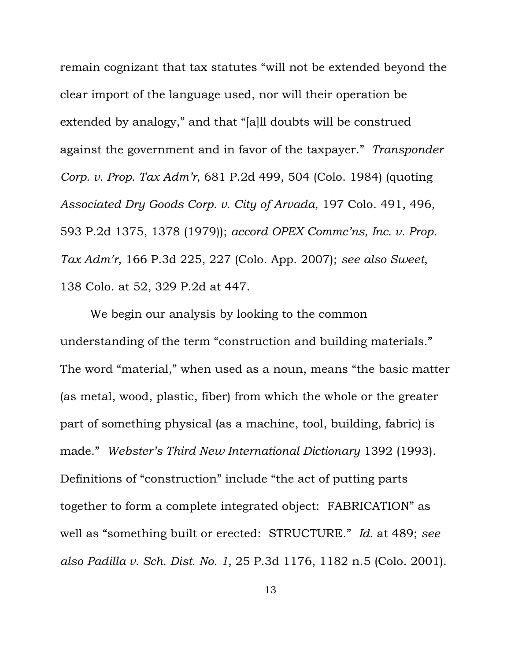remain cognizant that tax statutes "will not be extended beyond the clear import of the language used, nor will their operation be extended by analogy," and that "[a]ll doubts will be construed against the government and in favor of the taxpayer." *Transponder Corp. v. Prop. Tax Adm'r*, 681 P.2d 499, 504 (Colo. 1984) (quoting *Associated Dry Goods Corp. v. City of Arvada*, 197 Colo. 491, 496, 593 P.2d 1375, 1378 (1979)); *accord OPEX Commc'ns, Inc. v. Prop. Tax Adm'r*, 166 P.3d 225, 227 (Colo. App. 2007); *see also Sweet*, 138 Colo. at 52, 329 P.2d at 447.

We begin our analysis by looking to the common understanding of the term "construction and building materials." The word "material," when used as a noun, means "the basic matter (as metal, wood, plastic, fiber) from which the whole or the greater part of something physical (as a machine, tool, building, fabric) is made." *Webster's Third New International Dictionary* 1392 (1993). Definitions of "construction" include "the act of putting parts together to form a complete integrated object: FABRICATION" as well as "something built or erected: STRUCTURE." *Id.* at 489; *see also Padilla v. Sch. Dist. No. 1*, 25 P.3d 1176, 1182 n.5 (Colo. 2001).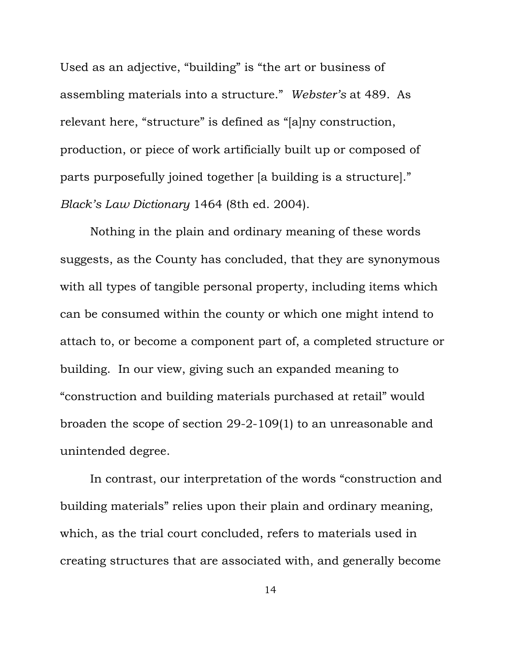Used as an adjective, "building" is "the art or business of assembling materials into a structure." *Webster's* at 489.As relevant here, "structure" is defined as "[a]ny construction, production, or piece of work artificially built up or composed of parts purposefully joined together [a building is a structure]." *Black's Law Dictionary* 1464 (8th ed. 2004).

Nothing in the plain and ordinary meaning of these words suggests, as the County has concluded, that they are synonymous with all types of tangible personal property, including items which can be consumed within the county or which one might intend to attach to, or become a component part of, a completed structure or building. In our view, giving such an expanded meaning to "construction and building materials purchased at retail" would broaden the scope of section 29-2-109(1) to an unreasonable and unintended degree.

In contrast, our interpretation of the words "construction and building materials" relies upon their plain and ordinary meaning, which, as the trial court concluded, refers to materials used in creating structures that are associated with, and generally become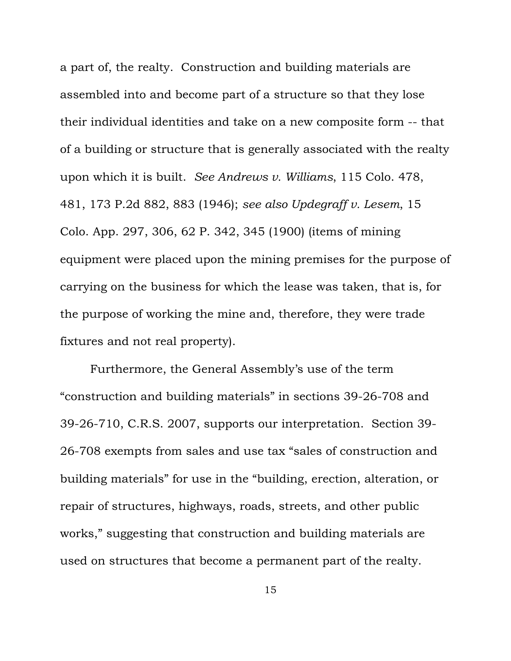a part of, the realty. Construction and building materials are assembled into and become part of a structure so that they lose their individual identities and take on a new composite form -- that of a building or structure that is generally associated with the realty upon which it is built. *See Andrews v. Williams*, 115 Colo. 478, 481, 173 P.2d 882, 883 (1946); *see also Updegraff v. Lesem*, 15 Colo. App. 297, 306, 62 P. 342, 345 (1900) (items of mining equipment were placed upon the mining premises for the purpose of carrying on the business for which the lease was taken, that is, for the purpose of working the mine and, therefore, they were trade fixtures and not real property).

Furthermore, the General Assembly's use of the term "construction and building materials" in sections 39-26-708 and 39-26-710, C.R.S. 2007, supports our interpretation. Section 39- 26-708 exempts from sales and use tax "sales of construction and building materials" for use in the "building, erection, alteration, or repair of structures, highways, roads, streets, and other public works," suggesting that construction and building materials are used on structures that become a permanent part of the realty.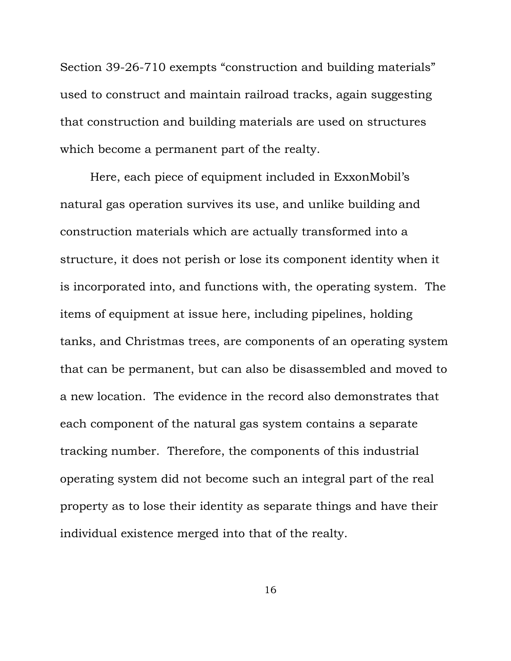Section 39-26-710 exempts "construction and building materials" used to construct and maintain railroad tracks, again suggesting that construction and building materials are used on structures which become a permanent part of the realty.

Here, each piece of equipment included in ExxonMobil's natural gas operation survives its use, and unlike building and construction materials which are actually transformed into a structure, it does not perish or lose its component identity when it is incorporated into, and functions with, the operating system. The items of equipment at issue here, including pipelines, holding tanks, and Christmas trees, are components of an operating system that can be permanent, but can also be disassembled and moved to a new location. The evidence in the record also demonstrates that each component of the natural gas system contains a separate tracking number. Therefore, the components of this industrial operating system did not become such an integral part of the real property as to lose their identity as separate things and have their individual existence merged into that of the realty.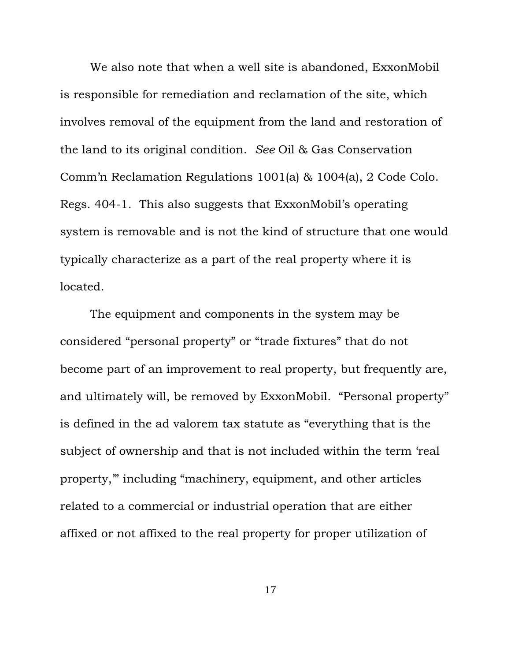We also note that when a well site is abandoned, ExxonMobil is responsible for remediation and reclamation of the site, which involves removal of the equipment from the land and restoration of the land to its original condition. *See* Oil & Gas Conservation Comm'n Reclamation Regulations 1001(a) & 1004(a), 2 Code Colo. Regs. 404-1. This also suggests that ExxonMobil's operating system is removable and is not the kind of structure that one would typically characterize as a part of the real property where it is located.

The equipment and components in the system may be considered "personal property" or "trade fixtures" that do not become part of an improvement to real property, but frequently are, and ultimately will, be removed by ExxonMobil. "Personal property" is defined in the ad valorem tax statute as "everything that is the subject of ownership and that is not included within the term 'real property,'" including "machinery, equipment, and other articles related to a commercial or industrial operation that are either affixed or not affixed to the real property for proper utilization of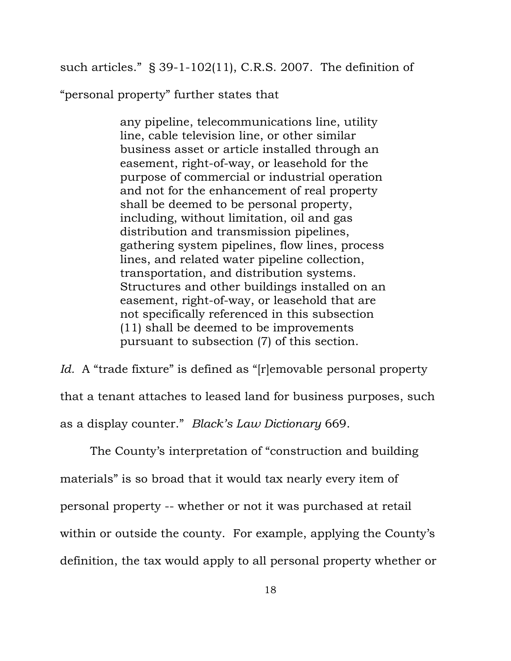such articles." § 39-1-102(11), C.R.S. 2007. The definition of

"personal property" further states that

any pipeline, telecommunications line, utility line, cable television line, or other similar business asset or article installed through an easement, right-of-way, or leasehold for the purpose of commercial or industrial operation and not for the enhancement of real property shall be deemed to be personal property, including, without limitation, oil and gas distribution and transmission pipelines, gathering system pipelines, flow lines, process lines, and related water pipeline collection, transportation, and distribution systems. Structures and other buildings installed on an easement, right-of-way, or leasehold that are not specifically referenced in this subsection (11) shall be deemed to be improvements pursuant to subsection (7) of this section.

*Id.* A "trade fixture" is defined as "[r]emovable personal property that a tenant attaches to leased land for business purposes, such as a display counter." *Black's Law Dictionary* 669.

The County's interpretation of "construction and building materials" is so broad that it would tax nearly every item of personal property -- whether or not it was purchased at retail within or outside the county. For example, applying the County's definition, the tax would apply to all personal property whether or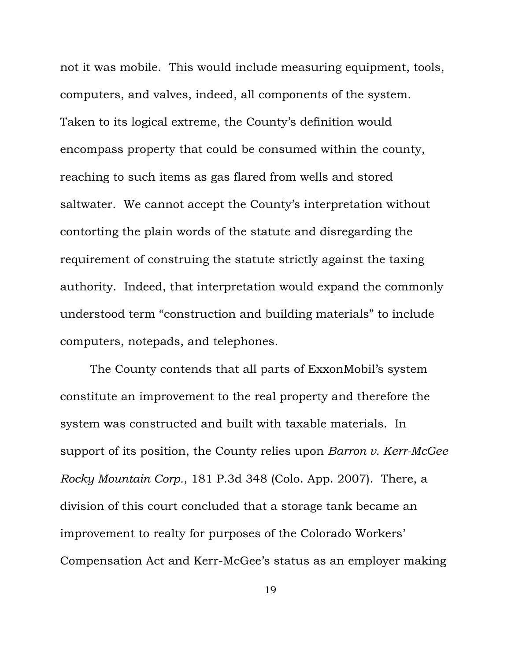not it was mobile. This would include measuring equipment, tools, computers, and valves, indeed, all components of the system. Taken to its logical extreme, the County's definition would encompass property that could be consumed within the county, reaching to such items as gas flared from wells and stored saltwater. We cannot accept the County's interpretation without contorting the plain words of the statute and disregarding the requirement of construing the statute strictly against the taxing authority. Indeed, that interpretation would expand the commonly understood term "construction and building materials" to include computers, notepads, and telephones.

The County contends that all parts of ExxonMobil's system constitute an improvement to the real property and therefore the system was constructed and built with taxable materials. In support of its position, the County relies upon *Barron v. Kerr-McGee Rocky Mountain Corp.*, 181 P.3d 348 (Colo. App. 2007). There, a division of this court concluded that a storage tank became an improvement to realty for purposes of the Colorado Workers' Compensation Act and Kerr-McGee's status as an employer making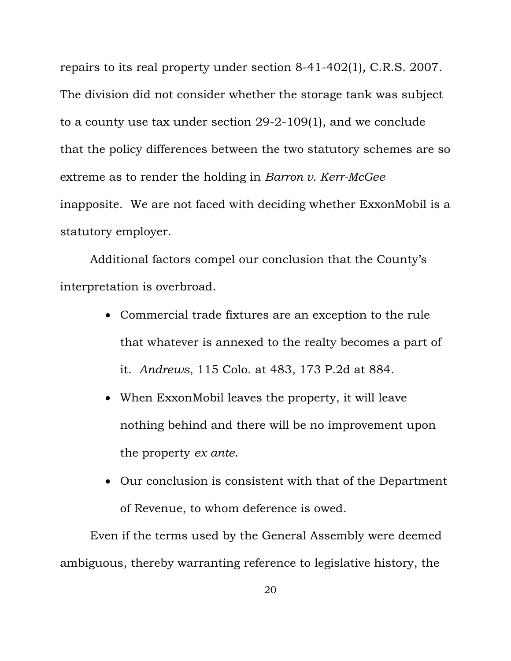repairs to its real property under section 8-41-402(1), C.R.S. 2007. The division did not consider whether the storage tank was subject to a county use tax under section 29-2-109(1), and we conclude that the policy differences between the two statutory schemes are so extreme as to render the holding in *Barron v. Kerr-McGee* inapposite. We are not faced with deciding whether ExxonMobil is a statutory employer.

Additional factors compel our conclusion that the County's interpretation is overbroad.

- Commercial trade fixtures are an exception to the rule that whatever is annexed to the realty becomes a part of it. *Andrews*, 115 Colo. at 483, 173 P.2d at 884.
- When ExxonMobil leaves the property, it will leave nothing behind and there will be no improvement upon the property *ex ante*.
- Our conclusion is consistent with that of the Department of Revenue, to whom deference is owed.

Even if the terms used by the General Assembly were deemed ambiguous, thereby warranting reference to legislative history, the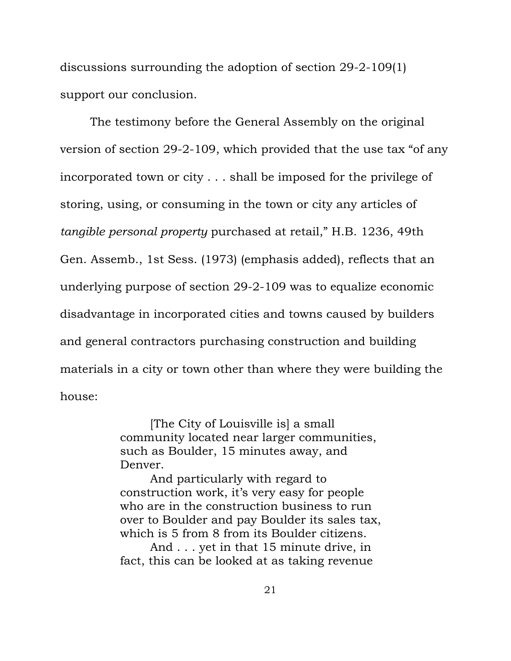discussions surrounding the adoption of section 29-2-109(1) support our conclusion.

The testimony before the General Assembly on the original version of section 29-2-109, which provided that the use tax "of any incorporated town or city . . . shall be imposed for the privilege of storing, using, or consuming in the town or city any articles of *tangible personal property* purchased at retail," H.B. 1236, 49th Gen. Assemb., 1st Sess. (1973) (emphasis added), reflects that an underlying purpose of section 29-2-109 was to equalize economic disadvantage in incorporated cities and towns caused by builders and general contractors purchasing construction and building materials in a city or town other than where they were building the house:

> [The City of Louisville is] a small community located near larger communities, such as Boulder, 15 minutes away, and Denver.

 And particularly with regard to construction work, it's very easy for people who are in the construction business to run over to Boulder and pay Boulder its sales tax, which is 5 from 8 from its Boulder citizens.

And . . . yet in that 15 minute drive, in fact, this can be looked at as taking revenue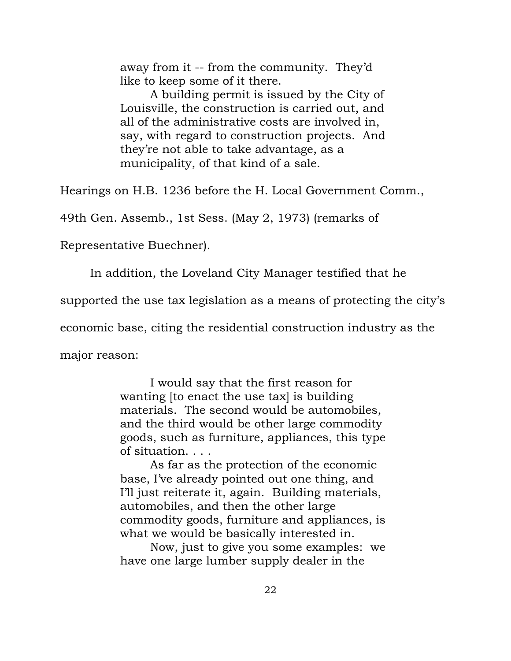away from it -- from the community. They'd like to keep some of it there.

 A building permit is issued by the City of Louisville, the construction is carried out, and all of the administrative costs are involved in, say, with regard to construction projects. And they're not able to take advantage, as a municipality, of that kind of a sale.

Hearings on H.B. 1236 before the H. Local Government Comm.,

49th Gen. Assemb., 1st Sess. (May 2, 1973) (remarks of

Representative Buechner).

In addition, the Loveland City Manager testified that he

supported the use tax legislation as a means of protecting the city's

economic base, citing the residential construction industry as the

major reason:

 I would say that the first reason for wanting to enact the use tax is building materials. The second would be automobiles, and the third would be other large commodity goods, such as furniture, appliances, this type of situation. . . .

 As far as the protection of the economic base, I've already pointed out one thing, and I'll just reiterate it, again. Building materials, automobiles, and then the other large commodity goods, furniture and appliances, is what we would be basically interested in.

 Now, just to give you some examples: we have one large lumber supply dealer in the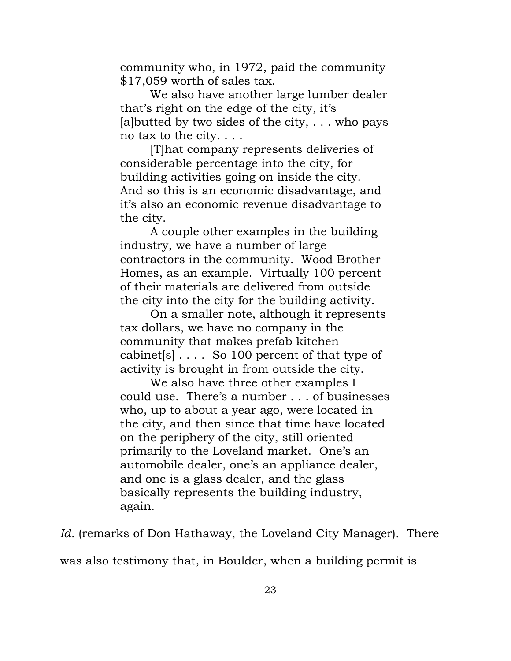community who, in 1972, paid the community \$17,059 worth of sales tax.

 We also have another large lumber dealer that's right on the edge of the city, it's [a] butted by two sides of the city,  $\dots$  who pays no tax to the city. . . .

 [T]hat company represents deliveries of considerable percentage into the city, for building activities going on inside the city. And so this is an economic disadvantage, and it's also an economic revenue disadvantage to the city.

 A couple other examples in the building industry, we have a number of large contractors in the community. Wood Brother Homes, as an example. Virtually 100 percent of their materials are delivered from outside the city into the city for the building activity.

 On a smaller note, although it represents tax dollars, we have no company in the community that makes prefab kitchen cabinet[s] . . . . So 100 percent of that type of activity is brought in from outside the city.

 We also have three other examples I could use. There's a number . . . of businesses who, up to about a year ago, were located in the city, and then since that time have located on the periphery of the city, still oriented primarily to the Loveland market. One's an automobile dealer, one's an appliance dealer, and one is a glass dealer, and the glass basically represents the building industry, again.

*Id.* (remarks of Don Hathaway, the Loveland City Manager). There

was also testimony that, in Boulder, when a building permit is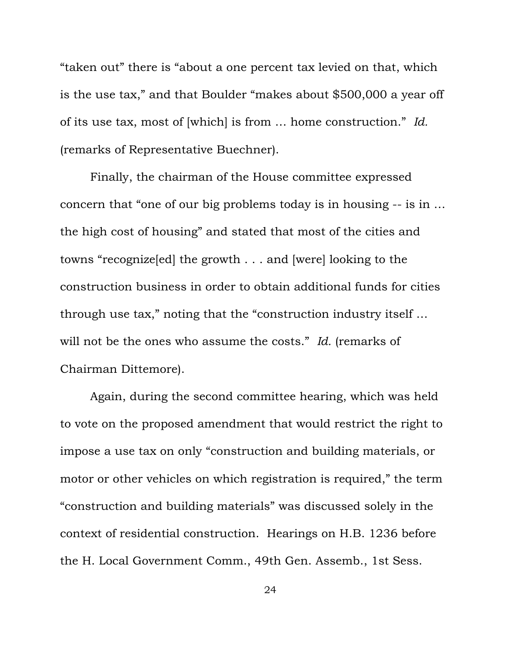"taken out" there is "about a one percent tax levied on that, which is the use tax," and that Boulder "makes about \$500,000 a year off of its use tax, most of [which] is from … home construction." *Id.* (remarks of Representative Buechner).

Finally, the chairman of the House committee expressed concern that "one of our big problems today is in housing -- is in … the high cost of housing" and stated that most of the cities and towns "recognize[ed] the growth . . . and [were] looking to the construction business in order to obtain additional funds for cities through use tax," noting that the "construction industry itself … will not be the ones who assume the costs." *Id.* (remarks of Chairman Dittemore).

Again, during the second committee hearing, which was held to vote on the proposed amendment that would restrict the right to impose a use tax on only "construction and building materials, or motor or other vehicles on which registration is required," the term "construction and building materials" was discussed solely in the context of residential construction. Hearings on H.B. 1236 before the H. Local Government Comm., 49th Gen. Assemb., 1st Sess.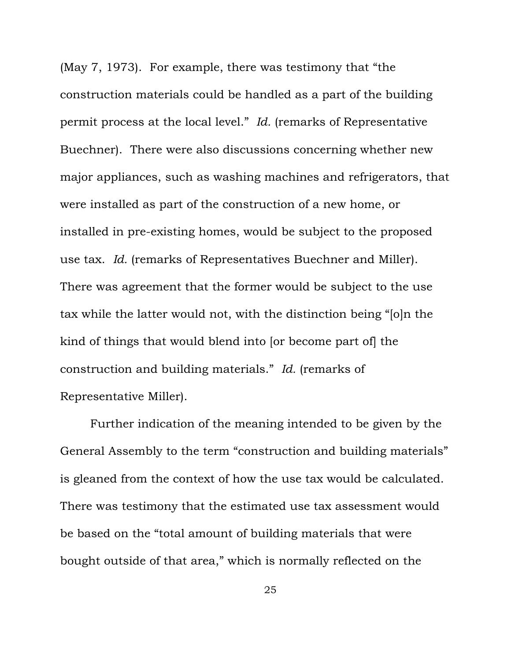(May 7, 1973). For example, there was testimony that "the construction materials could be handled as a part of the building permit process at the local level." *Id.* (remarks of Representative Buechner). There were also discussions concerning whether new major appliances, such as washing machines and refrigerators, that were installed as part of the construction of a new home, or installed in pre-existing homes, would be subject to the proposed use tax. *Id.* (remarks of Representatives Buechner and Miller). There was agreement that the former would be subject to the use tax while the latter would not, with the distinction being "[o]n the kind of things that would blend into [or become part of] the construction and building materials." *Id.* (remarks of Representative Miller).

Further indication of the meaning intended to be given by the General Assembly to the term "construction and building materials" is gleaned from the context of how the use tax would be calculated. There was testimony that the estimated use tax assessment would be based on the "total amount of building materials that were bought outside of that area," which is normally reflected on the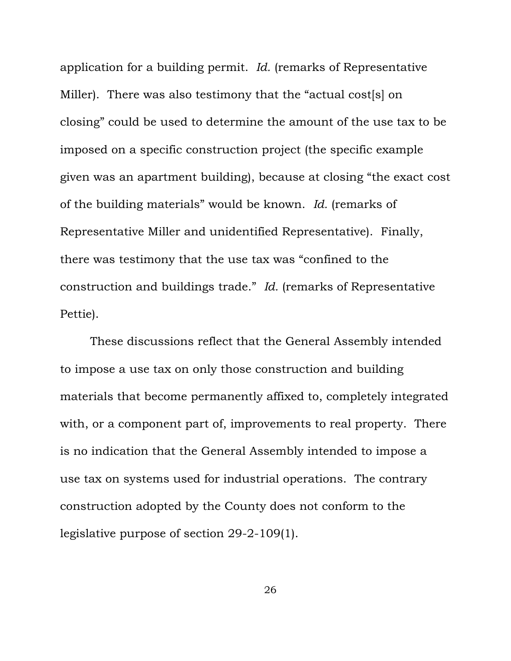application for a building permit. *Id.* (remarks of Representative Miller). There was also testimony that the "actual cost[s] on closing" could be used to determine the amount of the use tax to be imposed on a specific construction project (the specific example given was an apartment building), because at closing "the exact cost of the building materials" would be known. *Id.* (remarks of Representative Miller and unidentified Representative). Finally, there was testimony that the use tax was "confined to the construction and buildings trade." *Id.* (remarks of Representative Pettie).

These discussions reflect that the General Assembly intended to impose a use tax on only those construction and building materials that become permanently affixed to, completely integrated with, or a component part of, improvements to real property. There is no indication that the General Assembly intended to impose a use tax on systems used for industrial operations. The contrary construction adopted by the County does not conform to the legislative purpose of section 29-2-109(1).